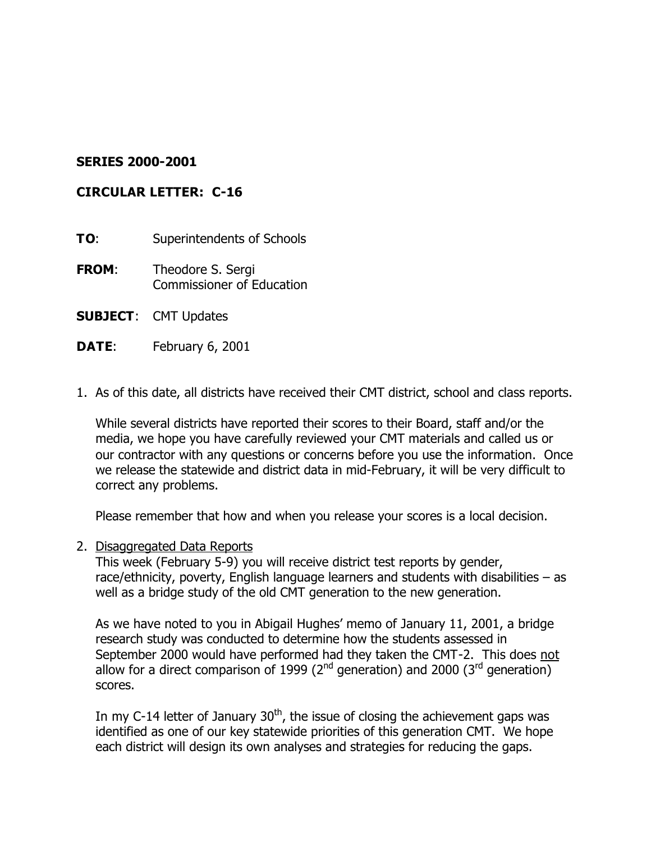### **SERIES 2000-2001**

### **CIRCULAR LETTER: C-16**

**TO:** Superintendents of Schools

- **FROM**: Theodore S. Sergi Commissioner of Education
- **SUBJECT**: CMT Updates
- **DATE:** February 6, 2001
- 1. As of this date, all districts have received their CMT district, school and class reports.

While several districts have reported their scores to their Board, staff and/or the media, we hope you have carefully reviewed your CMT materials and called us or our contractor with any questions or concerns before you use the information. Once we release the statewide and district data in mid-February, it will be very difficult to correct any problems.

Please remember that how and when you release your scores is a local decision.

2. Disaggregated Data Reports

This week (February 5-9) you will receive district test reports by gender, race/ethnicity, poverty, English language learners and students with disabilities – as well as a bridge study of the old CMT generation to the new generation.

As we have noted to you in Abigail Hughes' memo of January 11, 2001, a bridge research study was conducted to determine how the students assessed in September 2000 would have performed had they taken the CMT-2. This does not allow for a direct comparison of 1999 ( $2<sup>nd</sup>$  generation) and 2000 ( $3<sup>rd</sup>$  generation) scores.

In my C-14 letter of January  $30<sup>th</sup>$ , the issue of closing the achievement gaps was identified as one of our key statewide priorities of this generation CMT. We hope each district will design its own analyses and strategies for reducing the gaps.